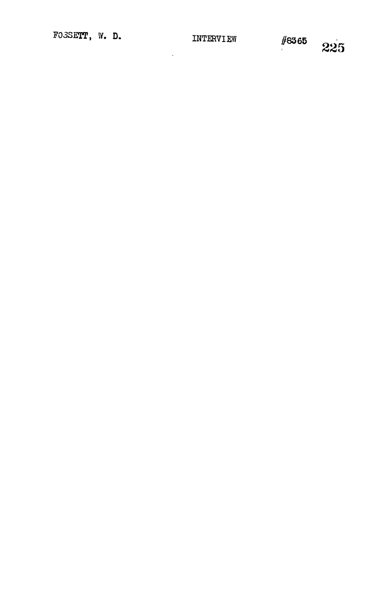$\mathbf{r}$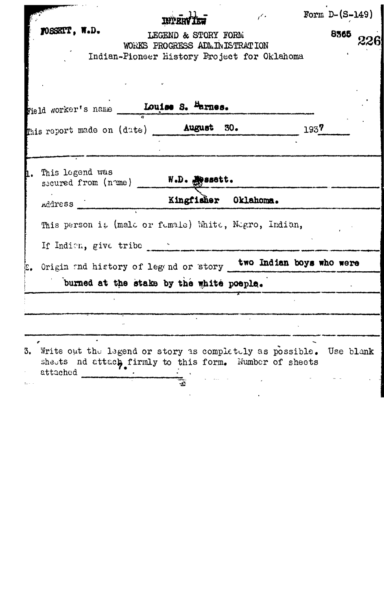|    |                                                                                                                                             |                               |                         |  | $\epsilon$ |      | Form $D-(S-149)$ |  |
|----|---------------------------------------------------------------------------------------------------------------------------------------------|-------------------------------|-------------------------|--|------------|------|------------------|--|
|    | TOSSETT, W.D.<br>Indian-Pioneer History Project for Oklahoma                                                                                | WORKS PROGRESS ADMINISTRATION | LEGEND & STORY FORM     |  |            |      | 8365             |  |
|    |                                                                                                                                             |                               |                         |  |            |      |                  |  |
|    | This report made on (date) <b>August 30.</b>                                                                                                |                               |                         |  |            | 1937 |                  |  |
| П. | This legend was<br>secured from (nome)                                                                                                      |                               | $W$ . $D$ . $M$ assott. |  |            |      |                  |  |
|    |                                                                                                                                             |                               |                         |  |            |      |                  |  |
|    | This person it (male or fumale) White, Negro, Indian,<br>If Indian, give tribe                                                              |                               |                         |  |            |      |                  |  |
|    | Origin and history of legand or story two Indian boys who were                                                                              |                               |                         |  |            |      |                  |  |
|    | burned at the stake by the white poeple.                                                                                                    |                               |                         |  |            |      |                  |  |
|    |                                                                                                                                             |                               |                         |  |            |      |                  |  |
|    |                                                                                                                                             |                               |                         |  |            |      |                  |  |
|    | 3. Write out the legend or story as completely as possible. Use blank<br>sheets nd attach firmly to this form. Number of sheets<br>attached |                               |                         |  |            |      |                  |  |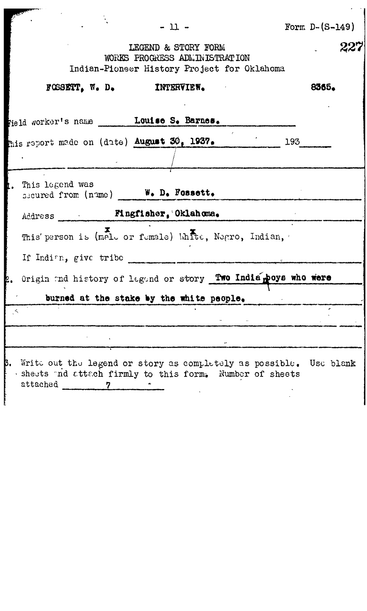|                                                                                                                                                | $-11 -$                                                                                             |  | Form $D-(S-149)$ |
|------------------------------------------------------------------------------------------------------------------------------------------------|-----------------------------------------------------------------------------------------------------|--|------------------|
|                                                                                                                                                | LEGEND & STORY FORM<br>WORKS PROGRESS ADMINISTRATION<br>Indian-Pioneer History Project for Oklahoma |  |                  |
|                                                                                                                                                | FOSSETT, W. D. INTERVIEW.                                                                           |  | 8365.            |
| rield worker's name ________Louise S. Barnes.                                                                                                  |                                                                                                     |  |                  |
| this report made on (date) August 30, 1937. 193.                                                                                               |                                                                                                     |  |                  |
| This legend was                                                                                                                                | secured from (name) W. D. Fossett.                                                                  |  |                  |
|                                                                                                                                                |                                                                                                     |  |                  |
|                                                                                                                                                | This' person is (male or female) White, Negro, Indian,                                              |  |                  |
| If Indian, give tribe                                                                                                                          |                                                                                                     |  |                  |
| 2. Origin and history of legand or story Two India poys who were                                                                               |                                                                                                     |  |                  |
|                                                                                                                                                | burned at the stake by the white people.                                                            |  |                  |
| $\prec$                                                                                                                                        |                                                                                                     |  |                  |
|                                                                                                                                                |                                                                                                     |  |                  |
| 3. Write out the legend or story as completely as possible. Use blank<br>· sheets and attach firmly to this form. Number of sheets<br>attached |                                                                                                     |  |                  |

 $\frac{1}{2}$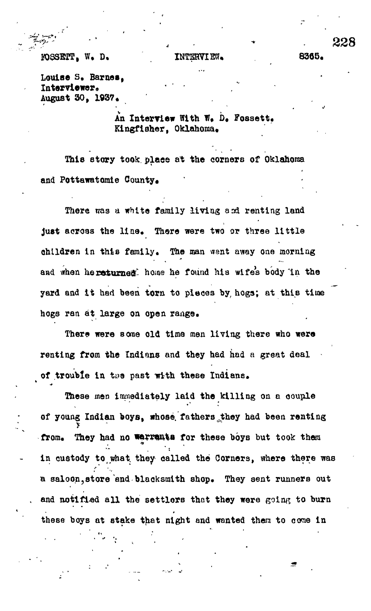## **FORSETT, W. D. INTERVIEW, . 8365.**

**Louise 3, Barnes, Interviewer, August 30, 1937\***

> **An Interview With W« D, Fossett.** Kingfisher, Oklahoma.

**This story took, place at the corners of Oklahoma** and Pottawatomie County.

There was a white family living and renting land just across the line. There were two or three little children in this family. The man went away one morning and when hereturned. home he found his wife's body in the **yard and it had been torn to pieces by; hogs; at this time** hogs ran at large on open range.

**There were some old time men living there who were renting from the Indians and they had had a great deal** of trouble in the past with these Indians.

**These men immediately laid the killing on a oouple** of young Indian boys, whose fathers they had been renting from. They had no werrants for these boys but took them **In custody to what they called the Corners, where there was** a saloon, store end blacksmith shop. They sent runners out and notified all the settlers that they were going to burn **these boys at stake that night and wanted them to come In**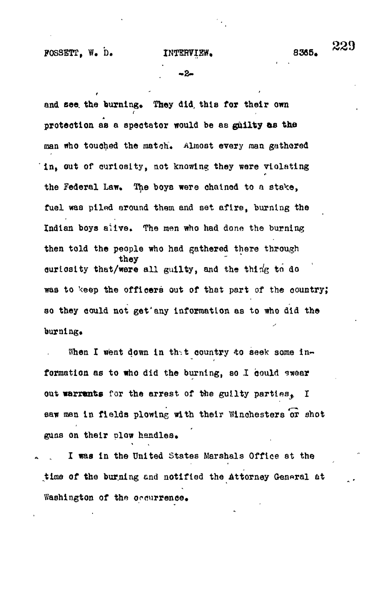8365.

--2-

and see the burning. They did, this for their own protection as a spectator would be as guilty as the man who touched the match. Almost every man gathered in, out of curiosity, not knowing they were violating the Federal Law. The boys were chained to a stake. fuel was piled around them and set afire, burning the Indian boys alive. The men who had done the burning then told the people who had gathered there through they curiosity that/were all guilty, and the thing to do was to keep the officers out of that part of the country; so they could not get any information as to who did the burning.

When I went down in that country to seek some information as to who did the burning, so I could swear out warrants for the arrest of the guilty parties. I saw men in fields plowing with their Winchesters or shot guns on their plow handles.

I was in the United States Marshals Office at the time of the burning and notified the Attorney General at Washington of the occurrence.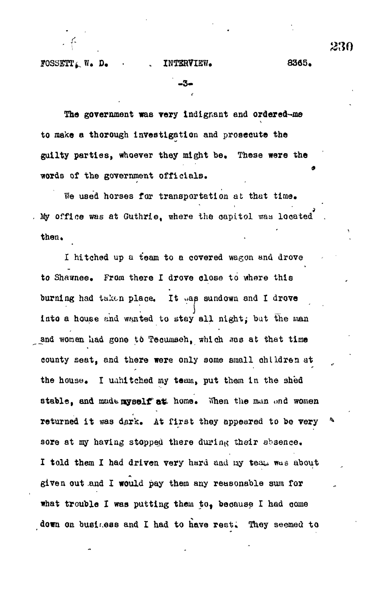$FOSSETT_L$   $N_t$ ,  $D_t$  . INTERVIEW.  $8365$ .

**9**

-3.

The government was very Indignant and ordered-me to make a thorough investigation and prosecute the guilty parties, whoever they might be. These were the words of the government officials.

We used horses for transportation at that time. *i* Sty office was at Guthrie, where the oapttol vraa loaated . then.

I hitched up a team to a covered wagon and drove to Shawnee. From there I drove close to where this burning had taken place. It was sundown and I drove into a house and wanted to stay all night; but the man and women had gone to Tecumsch, which was at that time county seat, and there were only some small children at the house. I uahitched my team, put them in the shed stable, and made nyself at home. When the man and women returned it was dark. At first they appeared to be very  $\mathbf{A}$ sore at my having stopped there during their absence. I told them I had driven very hard and my teau was about given out .and I would pay them any reasonable sum for what trouble I was putting them to, because I had come down on business and I had to have rest. They seemed to

**f** *2m*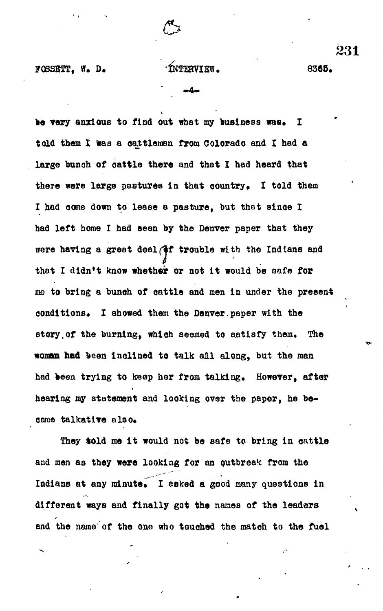

**FOBSETT, W. D. THERVIEW.** 8365.

be very anxious to find out what my business was. I **told them X was a cattleman from Colorado and I had a large bunoh of oattle there and that I had heard that** there were large pastures in that country. I told them **X had oomo down to lease a pasture, but that sinoe X** had left home I had seen by the Denver paper that they were having a great deal (**if trouble** with the Indians and **that I dldn\*t know whether or not it would be aafe for me to bring a bunoh of oattle and men in under the present** conditions. I showed them the Denver.paper with the **story.of the burning, which seemed to satisfy them. The woman had been Inclined to talk all along, but the man had been trying to keep her from talking. However, after hearing my statement and looking over the paper, he became talkative also\***

**They told me it would not be safe to bring in oattle and men as they were looking for an outbreak from the** Indians at any minute. I asked a good many questions in **different ways and finally got the names of the leaders** and the name of the one who touched the match to the fuel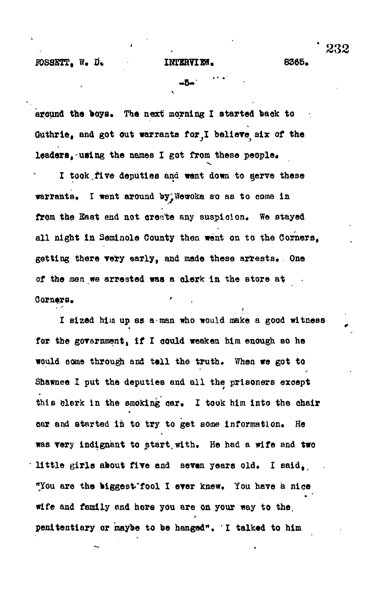**-5- "**

**around the boys. The next morning I started back to** Guthrie, and got out warrants for, I believe six of the **leaders,-using the names I got from these people\***

•.

**I took.five deputies and vent down to gerve these warrants, I went around by'Wetroka so as to come in** from the East and not create any suspicion. We stayed **all night in Seminole County then went on to the Corners,** getting there very early, and made these arrests. One **of the men we arrested was a clerk: in the store at** Corners.

**I sized him up as a man who would make a good witness** for the government, if I could weaken him enough so he **would come through and tell the truth. When we got to Shawnee I put the deputies and all the prisoners except** this clerk in the smoking car. I took him into the chair **oar and started in to try to get some information\* He was very Indignant to start,with. He had a wife and two little girls about five and seven years old. I said,,** "You are the biggest fool I ever knew. You have a nice **wife and family end here you ere on your way to the, penitentiary or maybe to be hanged\*, I talked to him**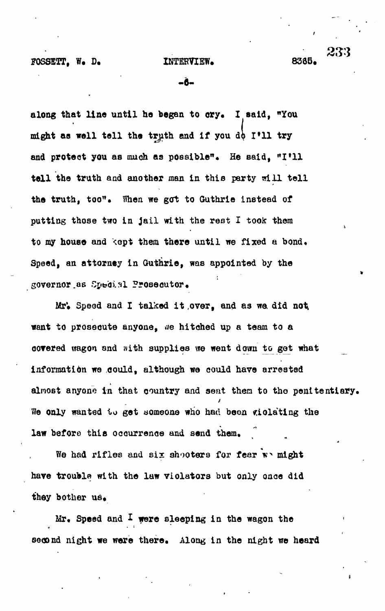233

-Ã-

**along that line until ho began to ory. I said, "You might aa well tell the truth and if you &\ I»ll try** and protect you as much as possible". He said, "I'll **tell the truth and another man in this party will tell the truth, too". When we got to Outhrie instead of putting those two in jail with the rest I took them** to my house and kept them there until we fixed a bond. **Speed, an attorney in Guthrie, was appointed by the** governor as Special Prosecutor.

**Mr\* Speed and I talked it .over, and as we did not, want to proseoute anyone, ue hitched up a team to a covered wagon and sith supplies we went down to get what inforraatidn we oould, although we could have arrested almost anyone in that country and sent then to the penitentiary. We only wanted to get someone who had boon violating the law before this occurrence and send them.**

We had rifles and six shooters for fear wo might **have trouble with the law violators but only once did** they bother us.

**Mr. Speed and I were sleeping in the wagon the second night we were there. Along in the night we heard**